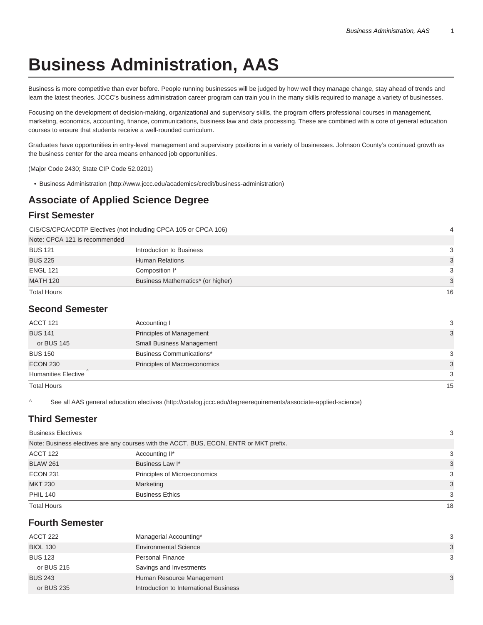# **Business Administration, AAS**

Business is more competitive than ever before. People running businesses will be judged by how well they manage change, stay ahead of trends and learn the latest theories. JCCC's business administration career program can train you in the many skills required to manage a variety of businesses.

Focusing on the development of decision-making, organizational and supervisory skills, the program offers professional courses in management, marketing, economics, accounting, finance, communications, business law and data processing. These are combined with a core of general education courses to ensure that students receive a well-rounded curriculum.

Graduates have opportunities in entry-level management and supervisory positions in a variety of businesses. Johnson County's continued growth as the business center for the area means enhanced job opportunities.

(Major Code 2430; State CIP Code 52.0201)

• Business Administration (http://www.jccc.edu/academics/credit/business-administration)

## **Associate of Applied Science Degree**

#### **First Semester**

CIS/CS/CPCA/CDTP Electives (not including CPCA 105 or CPCA 106) 4

| Note: CPCA 121 is recommended |                                   |    |
|-------------------------------|-----------------------------------|----|
| <b>BUS 121</b>                | Introduction to Business          | 3  |
| <b>BUS 225</b>                | <b>Human Relations</b>            | 3  |
| <b>ENGL 121</b>               | Composition I*                    | 3  |
| <b>MATH 120</b>               | Business Mathematics* (or higher) | 3  |
| <b>Total Hours</b>            |                                   | 16 |

### **Second Semester**

| ACCT 121            | Accounting I                    | 3  |
|---------------------|---------------------------------|----|
| <b>BUS 141</b>      | Principles of Management        | 3  |
| or BUS 145          | Small Business Management       |    |
| <b>BUS 150</b>      | <b>Business Communications*</b> | 3  |
| <b>ECON 230</b>     | Principles of Macroeconomics    | 3  |
| Humanities Elective |                                 | 3  |
| <b>Total Hours</b>  |                                 | 15 |

^ See all AAS general education electives (http://catalog.jccc.edu/degreerequirements/associate-applied-science)

### **Third Semester**

| ACCT 122           | Accounting II*               | 3 |
|--------------------|------------------------------|---|
| <b>BLAW 261</b>    | Business Law I*              | 3 |
| <b>ECON 231</b>    | Principles of Microeconomics | 3 |
| <b>MKT 230</b>     | Marketing                    | 3 |
| <b>PHIL 140</b>    | <b>Business Ethics</b>       | 3 |
| <b>Total Hours</b> | 18                           |   |

### **Fourth Semester**

| ACCT 222        | Managerial Accounting*                 | -3 |
|-----------------|----------------------------------------|----|
| <b>BIOL 130</b> | <b>Environmental Science</b>           | 3  |
| <b>BUS 123</b>  | <b>Personal Finance</b>                | -3 |
| or BUS 215      | Savings and Investments                |    |
| <b>BUS 243</b>  | Human Resource Management              | 3  |
| or BUS 235      | Introduction to International Business |    |